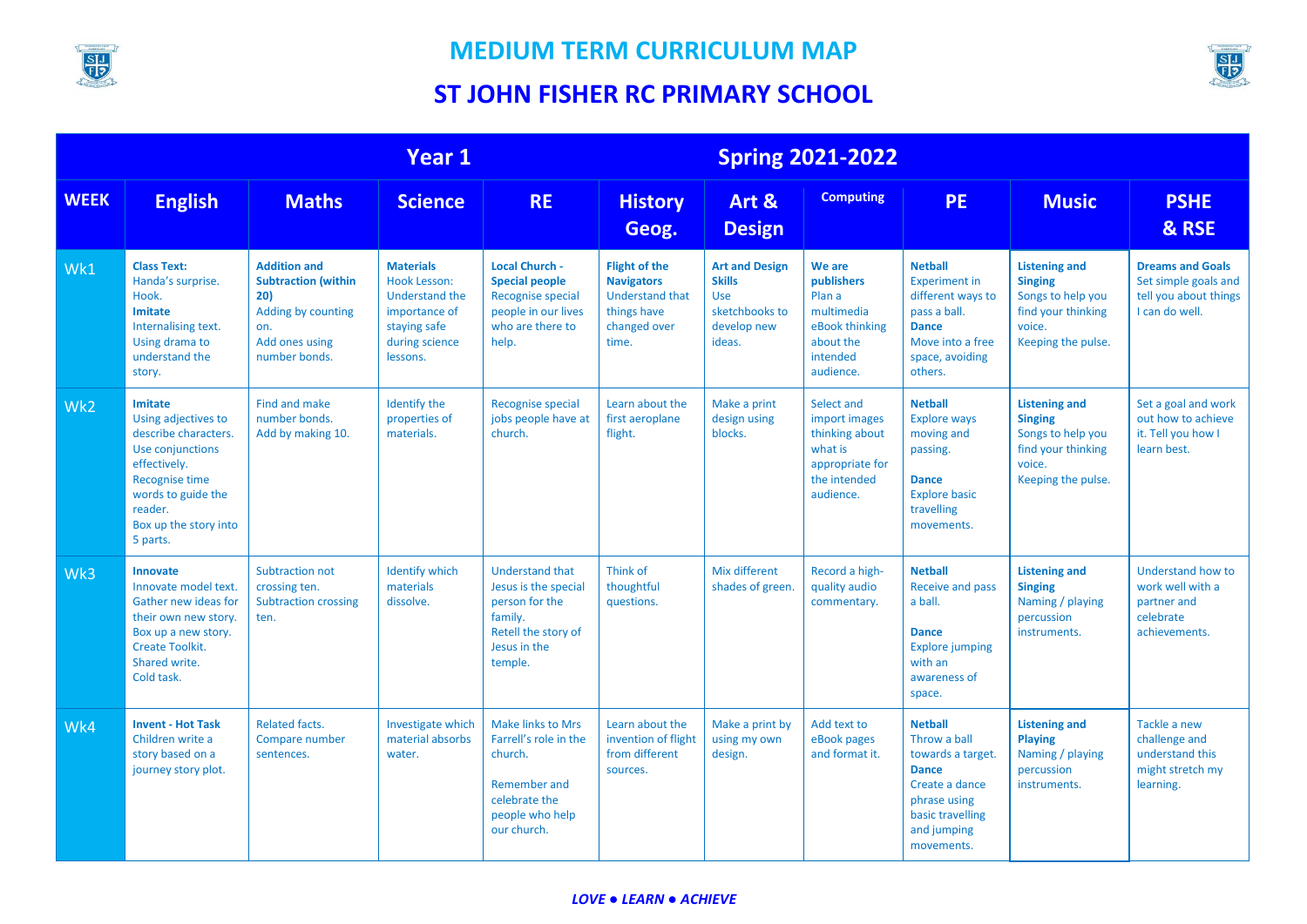



| <b>Year 1</b>   |                                                                                                                                                                                                  |                                                                                                                          |                                                                                                                          | <b>Spring 2021-2022</b>                                                                                                        |                                                                                                             |                                                                                                 |                                                                                                          |                                                                                                                                                        |                                                                                                                   |                                                                                            |
|-----------------|--------------------------------------------------------------------------------------------------------------------------------------------------------------------------------------------------|--------------------------------------------------------------------------------------------------------------------------|--------------------------------------------------------------------------------------------------------------------------|--------------------------------------------------------------------------------------------------------------------------------|-------------------------------------------------------------------------------------------------------------|-------------------------------------------------------------------------------------------------|----------------------------------------------------------------------------------------------------------|--------------------------------------------------------------------------------------------------------------------------------------------------------|-------------------------------------------------------------------------------------------------------------------|--------------------------------------------------------------------------------------------|
| <b>WEEK</b>     | <b>English</b>                                                                                                                                                                                   | <b>Maths</b>                                                                                                             | <b>Science</b>                                                                                                           | <b>RE</b>                                                                                                                      | <b>History</b><br>Geog.                                                                                     | Art &<br><b>Design</b>                                                                          | <b>Computing</b>                                                                                         | <b>PE</b>                                                                                                                                              | <b>Music</b>                                                                                                      | <b>PSHE</b><br>& RSE                                                                       |
| Wk1             | <b>Class Text:</b><br>Handa's surprise.<br>Hook.<br><b>Imitate</b><br>Internalising text.<br>Using drama to<br>understand the<br>story.                                                          | <b>Addition and</b><br><b>Subtraction (within</b><br>20)<br>Adding by counting<br>on.<br>Add ones using<br>number bonds. | <b>Materials</b><br><b>Hook Lesson:</b><br>Understand the<br>importance of<br>staying safe<br>during science<br>lessons. | <b>Local Church -</b><br><b>Special people</b><br><b>Recognise special</b><br>people in our lives<br>who are there to<br>help. | <b>Flight of the</b><br><b>Navigators</b><br><b>Understand that</b><br>things have<br>changed over<br>time. | <b>Art and Design</b><br><b>Skills</b><br><b>Use</b><br>sketchbooks to<br>develop new<br>ideas. | We are<br>publishers<br>Plan a<br>multimedia<br>eBook thinking<br>about the<br>intended<br>audience.     | <b>Netball</b><br><b>Experiment in</b><br>different ways to<br>pass a ball.<br><b>Dance</b><br>Move into a free<br>space, avoiding<br>others.          | <b>Listening and</b><br><b>Singing</b><br>Songs to help you<br>find your thinking<br>voice.<br>Keeping the pulse. | <b>Dreams and Goals</b><br>Set simple goals and<br>tell you about things<br>I can do well. |
| Wk <sub>2</sub> | Imitate<br>Using adjectives to<br>describe characters.<br><b>Use conjunctions</b><br>effectively.<br><b>Recognise time</b><br>words to guide the<br>reader.<br>Box up the story into<br>5 parts. | Find and make<br>number bonds.<br>Add by making 10.                                                                      | Identify the<br>properties of<br>materials.                                                                              | <b>Recognise special</b><br>jobs people have at<br>church.                                                                     | Learn about the<br>first aeroplane<br>flight.                                                               | Make a print<br>design using<br>blocks.                                                         | Select and<br>import images<br>thinking about<br>what is<br>appropriate for<br>the intended<br>audience. | <b>Netball</b><br><b>Explore ways</b><br>moving and<br>passing.<br><b>Dance</b><br><b>Explore basic</b><br>travelling<br>movements.                    | <b>Listening and</b><br><b>Singing</b><br>Songs to help you<br>find your thinking<br>voice.<br>Keeping the pulse. | Set a goal and work<br>out how to achieve<br>it. Tell you how I<br>learn best.             |
| Wk3             | <b>Innovate</b><br>Innovate model text.<br>Gather new ideas for<br>their own new story.<br>Box up a new story.<br>Create Toolkit.<br>Shared write.<br>Cold task.                                 | Subtraction not<br>crossing ten.<br><b>Subtraction crossing</b><br>ten.                                                  | <b>Identify which</b><br>materials<br>dissolve.                                                                          | <b>Understand that</b><br>Jesus is the special<br>person for the<br>family.<br>Retell the story of<br>Jesus in the<br>temple.  | Think of<br>thoughtful<br>questions.                                                                        | Mix different<br>shades of green.                                                               | Record a high-<br>quality audio<br>commentary.                                                           | <b>Netball</b><br><b>Receive and pass</b><br>a ball.<br><b>Dance</b><br><b>Explore jumping</b><br>with an<br>awareness of<br>space.                    | <b>Listening and</b><br><b>Singing</b><br>Naming / playing<br>percussion<br>instruments.                          | Understand how to<br>work well with a<br>partner and<br>celebrate<br>achievements.         |
| Wk4             | <b>Invent - Hot Task</b><br>Children write a<br>story based on a<br>journey story plot.                                                                                                          | <b>Related facts.</b><br>Compare number<br>sentences.                                                                    | Investigate which<br>material absorbs<br>water.                                                                          | Make links to Mrs<br>Farrell's role in the<br>church.<br>Remember and<br>celebrate the<br>people who help<br>our church.       | Learn about the<br>invention of flight<br>from different<br>sources.                                        | Make a print by<br>using my own<br>design.                                                      | Add text to<br>eBook pages<br>and format it.                                                             | <b>Netball</b><br>Throw a ball<br>towards a target.<br><b>Dance</b><br>Create a dance<br>phrase using<br>basic travelling<br>and jumping<br>movements. | <b>Listening and</b><br><b>Playing</b><br>Naming / playing<br>percussion<br>instruments.                          | Tackle a new<br>challenge and<br>understand this<br>might stretch my<br>learning.          |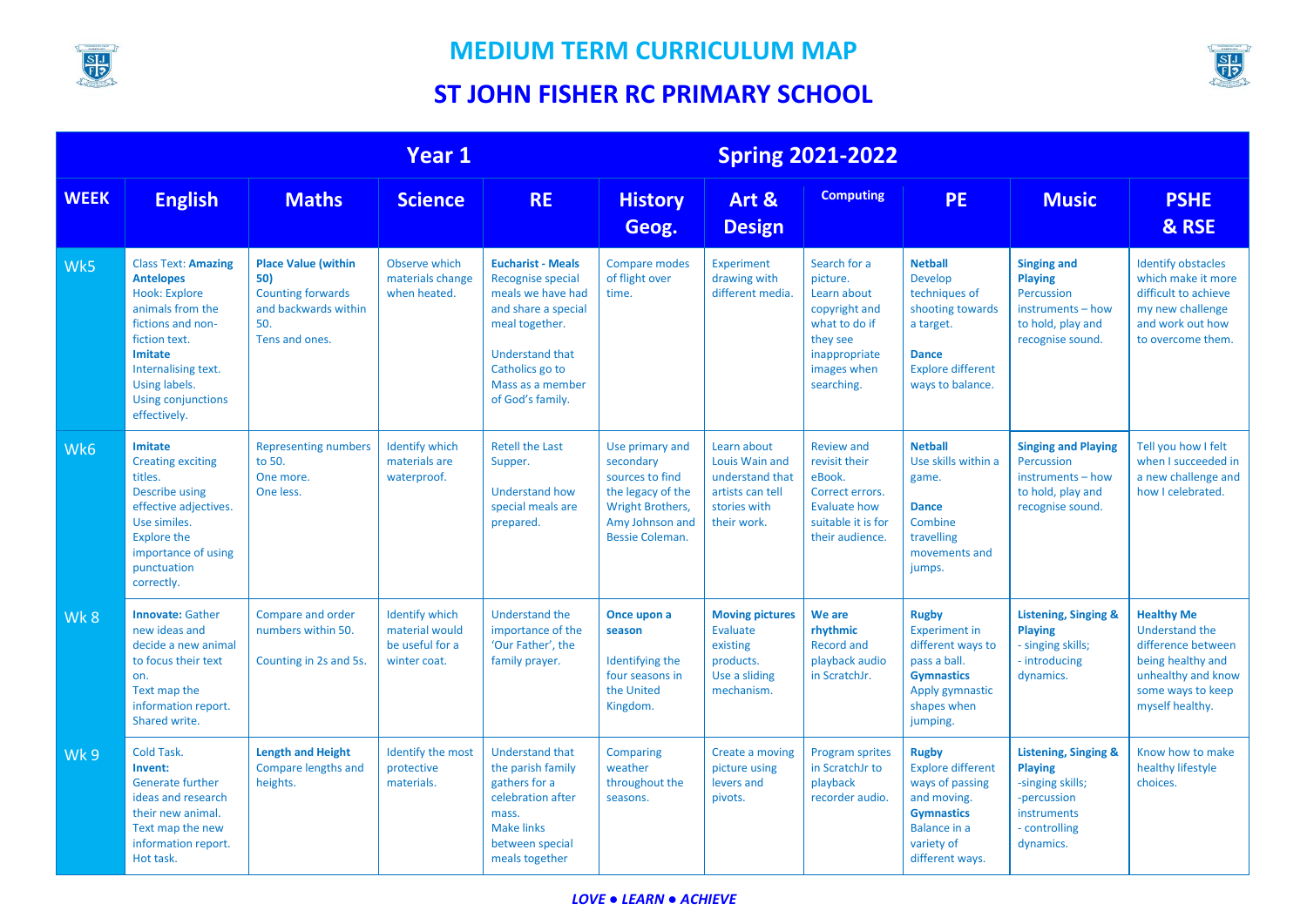



|             | <b>Year 1</b>                                                                                                                                                                                                                    |                                                                                                                |                                                                            | <b>Spring 2021-2022</b>                                                                                                                                                                                 |                                                                                                                                       |                                                                                                     |                                                                                                                                     |                                                                                                                                                         |                                                                                                                        |                                                                                                                                              |
|-------------|----------------------------------------------------------------------------------------------------------------------------------------------------------------------------------------------------------------------------------|----------------------------------------------------------------------------------------------------------------|----------------------------------------------------------------------------|---------------------------------------------------------------------------------------------------------------------------------------------------------------------------------------------------------|---------------------------------------------------------------------------------------------------------------------------------------|-----------------------------------------------------------------------------------------------------|-------------------------------------------------------------------------------------------------------------------------------------|---------------------------------------------------------------------------------------------------------------------------------------------------------|------------------------------------------------------------------------------------------------------------------------|----------------------------------------------------------------------------------------------------------------------------------------------|
| <b>WEEK</b> | <b>English</b>                                                                                                                                                                                                                   | <b>Maths</b>                                                                                                   | <b>Science</b>                                                             | <b>RE</b>                                                                                                                                                                                               | <b>History</b><br>Geog.                                                                                                               | Art &<br><b>Design</b>                                                                              | <b>Computing</b>                                                                                                                    | <b>PE</b>                                                                                                                                               | <b>Music</b>                                                                                                           | <b>PSHE</b><br>& RSE                                                                                                                         |
| Wk5         | <b>Class Text: Amazing</b><br><b>Antelopes</b><br>Hook: Explore<br>animals from the<br>fictions and non-<br>fiction text.<br><b>Imitate</b><br>Internalising text.<br>Using labels.<br><b>Using conjunctions</b><br>effectively. | <b>Place Value (within</b><br>50)<br><b>Counting forwards</b><br>and backwards within<br>50.<br>Tens and ones. | Observe which<br>materials change<br>when heated.                          | <b>Eucharist - Meals</b><br><b>Recognise special</b><br>meals we have had<br>and share a special<br>meal together.<br><b>Understand that</b><br>Catholics go to<br>Mass as a member<br>of God's family. | <b>Compare modes</b><br>of flight over<br>time.                                                                                       | Experiment<br>drawing with<br>different media.                                                      | Search for a<br>picture.<br>Learn about<br>copyright and<br>what to do if<br>they see<br>inappropriate<br>images when<br>searching. | <b>Netball</b><br><b>Develop</b><br>techniques of<br>shooting towards<br>a target.<br><b>Dance</b><br><b>Explore different</b><br>ways to balance.      | <b>Singing and</b><br><b>Playing</b><br>Percussion<br>instruments - how<br>to hold, play and<br>recognise sound.       | <b>Identify obstacles</b><br>which make it more<br>difficult to achieve<br>my new challenge<br>and work out how<br>to overcome them.         |
| Wk6         | Imitate<br><b>Creating exciting</b><br>titles.<br>Describe using<br>effective adjectives.<br>Use similes.<br><b>Explore the</b><br>importance of using<br>punctuation<br>correctly.                                              | <b>Representing numbers</b><br>to 50.<br>One more.<br>One less.                                                | <b>Identify which</b><br>materials are<br>waterproof.                      | <b>Retell the Last</b><br>Supper.<br><b>Understand how</b><br>special meals are<br>prepared.                                                                                                            | Use primary and<br>secondary<br>sources to find<br>the legacy of the<br>Wright Brothers,<br>Amy Johnson and<br><b>Bessie Coleman.</b> | Learn about<br>Louis Wain and<br>understand that<br>artists can tell<br>stories with<br>their work. | <b>Review and</b><br>revisit their<br>eBook.<br>Correct errors.<br>Evaluate how<br>suitable it is for<br>their audience.            | <b>Netball</b><br>Use skills within a<br>game.<br><b>Dance</b><br>Combine<br>travelling<br>movements and<br>jumps.                                      | <b>Singing and Playing</b><br>Percussion<br>instruments - how<br>to hold, play and<br>recognise sound.                 | Tell you how I felt<br>when I succeeded in<br>a new challenge and<br>how I celebrated.                                                       |
| Wk8         | <b>Innovate: Gather</b><br>new ideas and<br>decide a new animal<br>to focus their text<br>on.<br>Text map the<br>information report.<br>Shared write.                                                                            | Compare and order<br>numbers within 50.<br>Counting in 2s and 5s.                                              | <b>Identify which</b><br>material would<br>be useful for a<br>winter coat. | <b>Understand the</b><br>importance of the<br>'Our Father', the<br>family prayer.                                                                                                                       | Once upon a<br>season<br>Identifying the<br>four seasons in<br>the United<br>Kingdom.                                                 | <b>Moving pictures</b><br>Evaluate<br>existing<br>products.<br>Use a sliding<br>mechanism.          | We are<br>rhythmic<br>Record and<br>playback audio<br>in ScratchJr.                                                                 | <b>Rugby</b><br><b>Experiment in</b><br>different ways to<br>pass a ball.<br><b>Gymnastics</b><br>Apply gymnastic<br>shapes when<br>jumping.            | Listening, Singing &<br><b>Playing</b><br>- singing skills;<br>- introducing<br>dynamics.                              | <b>Healthy Me</b><br>Understand the<br>difference between<br>being healthy and<br>unhealthy and know<br>some ways to keep<br>myself healthy. |
| Wk9         | Cold Task.<br>Invent:<br><b>Generate further</b><br>ideas and research<br>their new animal.<br>Text map the new<br>information report.<br>Hot task.                                                                              | <b>Length and Height</b><br>Compare lengths and<br>heights.                                                    | <b>Identify the most</b><br>protective<br>materials.                       | <b>Understand that</b><br>the parish family<br>gathers for a<br>celebration after<br>mass.<br><b>Make links</b><br>between special<br>meals together                                                    | Comparing<br>weather<br>throughout the<br>seasons.                                                                                    | Create a moving<br>picture using<br>levers and<br>pivots.                                           | <b>Program sprites</b><br>in ScratchJr to<br>playback<br>recorder audio.                                                            | <b>Rugby</b><br><b>Explore different</b><br>ways of passing<br>and moving.<br><b>Gymnastics</b><br><b>Balance in a</b><br>variety of<br>different ways. | Listening, Singing &<br><b>Playing</b><br>-singing skills;<br>-percussion<br>instruments<br>- controlling<br>dynamics. | Know how to make<br>healthy lifestyle<br>choices.                                                                                            |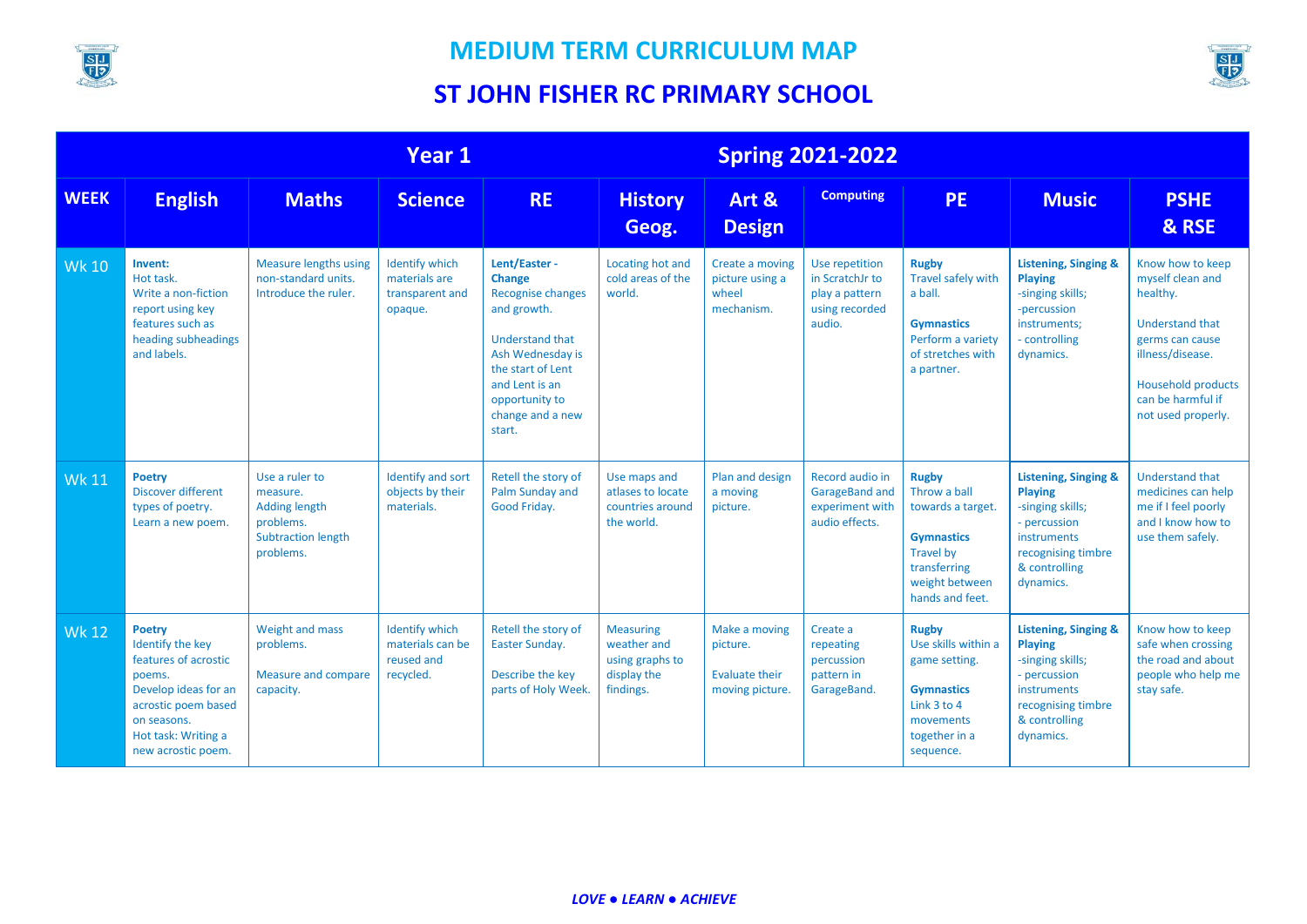



|              | Year 1                                                                                                                                                                         |                                                                                                           |                                                                      |                                                                                                                                                                                                                | <b>Spring 2021-2022</b>                                                        |                                                                       |                                                                                 |                                                                                                                                                 |                                                                                                                                                          |                                                                                                                                                                                           |
|--------------|--------------------------------------------------------------------------------------------------------------------------------------------------------------------------------|-----------------------------------------------------------------------------------------------------------|----------------------------------------------------------------------|----------------------------------------------------------------------------------------------------------------------------------------------------------------------------------------------------------------|--------------------------------------------------------------------------------|-----------------------------------------------------------------------|---------------------------------------------------------------------------------|-------------------------------------------------------------------------------------------------------------------------------------------------|----------------------------------------------------------------------------------------------------------------------------------------------------------|-------------------------------------------------------------------------------------------------------------------------------------------------------------------------------------------|
| <b>WEEK</b>  | <b>English</b>                                                                                                                                                                 | <b>Maths</b>                                                                                              | <b>Science</b>                                                       | <b>RE</b>                                                                                                                                                                                                      | <b>History</b><br>Geog.                                                        | Art &<br><b>Design</b>                                                | <b>Computing</b>                                                                | <b>PE</b>                                                                                                                                       | <b>Music</b>                                                                                                                                             | <b>PSHE</b><br>& RSE                                                                                                                                                                      |
| <b>Wk 10</b> | Invent:<br>Hot task.<br>Write a non-fiction<br>report using key<br>features such as<br>heading subheadings<br>and labels.                                                      | <b>Measure lengths using</b><br>non-standard units.<br>Introduce the ruler.                               | <b>Identify which</b><br>materials are<br>transparent and<br>opaque. | Lent/Easter -<br><b>Change</b><br><b>Recognise changes</b><br>and growth.<br><b>Understand that</b><br>Ash Wednesday is<br>the start of Lent<br>and Lent is an<br>opportunity to<br>change and a new<br>start. | Locating hot and<br>cold areas of the<br>world.                                | Create a moving<br>picture using a<br>wheel<br>mechanism.             | Use repetition<br>in ScratchJr to<br>play a pattern<br>using recorded<br>audio. | <b>Rugby</b><br>Travel safely with<br>a ball.<br><b>Gymnastics</b><br>Perform a variety<br>of stretches with<br>a partner.                      | <b>Listening, Singing &amp;</b><br><b>Playing</b><br>-singing skills;<br>-percussion<br>instruments;<br>- controlling<br>dynamics.                       | Know how to keep<br>myself clean and<br>healthy.<br><b>Understand that</b><br>germs can cause<br>illness/disease.<br><b>Household products</b><br>can be harmful if<br>not used properly. |
| <b>Wk 11</b> | <b>Poetry</b><br>Discover different<br>types of poetry.<br>Learn a new poem.                                                                                                   | Use a ruler to<br>measure.<br><b>Adding length</b><br>problems.<br><b>Subtraction length</b><br>problems. | Identify and sort<br>objects by their<br>materials.                  | Retell the story of<br>Palm Sunday and<br>Good Friday.                                                                                                                                                         | Use maps and<br>atlases to locate<br>countries around<br>the world.            | Plan and design<br>a moving<br>picture.                               | Record audio in<br>GarageBand and<br>experiment with<br>audio effects.          | <b>Rugby</b><br>Throw a ball<br>towards a target.<br><b>Gymnastics</b><br><b>Travel by</b><br>transferring<br>weight between<br>hands and feet. | <b>Listening, Singing &amp;</b><br><b>Playing</b><br>-singing skills;<br>- percussion<br>instruments<br>recognising timbre<br>& controlling<br>dynamics. | <b>Understand that</b><br>medicines can help<br>me if I feel poorly<br>and I know how to<br>use them safely.                                                                              |
| <b>Wk 12</b> | <b>Poetry</b><br>Identify the key<br>features of acrostic<br>poems.<br>Develop ideas for an<br>acrostic poem based<br>on seasons.<br>Hot task: Writing a<br>new acrostic poem. | Weight and mass<br>problems.<br><b>Measure and compare</b><br>capacity.                                   | <b>Identify which</b><br>materials can be<br>reused and<br>recycled. | Retell the story of<br>Easter Sunday.<br>Describe the key<br>parts of Holy Week.                                                                                                                               | <b>Measuring</b><br>weather and<br>using graphs to<br>display the<br>findings. | Make a moving<br>picture.<br><b>Evaluate their</b><br>moving picture. | Create a<br>repeating<br>percussion<br>pattern in<br>GarageBand.                | <b>Rugby</b><br>Use skills within a<br>game setting.<br><b>Gymnastics</b><br>Link $3$ to $4$<br>movements<br>together in a<br>sequence.         | <b>Listening, Singing &amp;</b><br><b>Playing</b><br>-singing skills;<br>- percussion<br>instruments<br>recognising timbre<br>& controlling<br>dynamics. | Know how to keep<br>safe when crossing<br>the road and about<br>people who help me<br>stay safe.                                                                                          |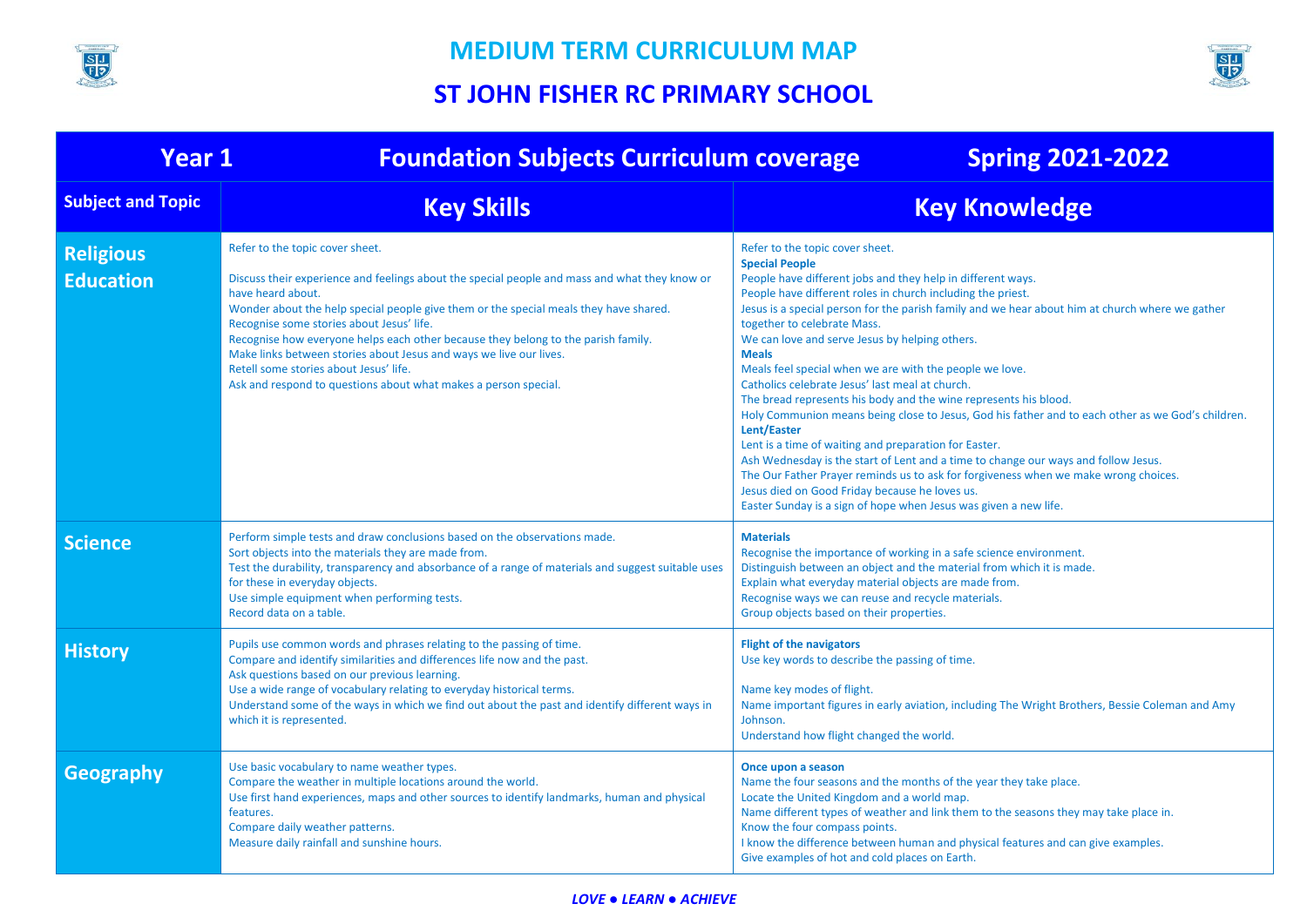



| <b>Year 1</b>                        | <b>Foundation Subjects Curriculum coverage</b>                                                                                                                                                                                                                                                                                                                                                                                                                                                                                                                      | <b>Spring 2021-2022</b>                                                                                                                                                                                                                                                                                                                                                                                                                                                                                                                                                                                                                                                                                                                                                                                                                                                                                                                                                                                                                                      |  |  |  |  |
|--------------------------------------|---------------------------------------------------------------------------------------------------------------------------------------------------------------------------------------------------------------------------------------------------------------------------------------------------------------------------------------------------------------------------------------------------------------------------------------------------------------------------------------------------------------------------------------------------------------------|--------------------------------------------------------------------------------------------------------------------------------------------------------------------------------------------------------------------------------------------------------------------------------------------------------------------------------------------------------------------------------------------------------------------------------------------------------------------------------------------------------------------------------------------------------------------------------------------------------------------------------------------------------------------------------------------------------------------------------------------------------------------------------------------------------------------------------------------------------------------------------------------------------------------------------------------------------------------------------------------------------------------------------------------------------------|--|--|--|--|
| <b>Subject and Topic</b>             | <b>Key Skills</b>                                                                                                                                                                                                                                                                                                                                                                                                                                                                                                                                                   | <b>Key Knowledge</b>                                                                                                                                                                                                                                                                                                                                                                                                                                                                                                                                                                                                                                                                                                                                                                                                                                                                                                                                                                                                                                         |  |  |  |  |
| <b>Religious</b><br><b>Education</b> | Refer to the topic cover sheet.<br>Discuss their experience and feelings about the special people and mass and what they know or<br>have heard about.<br>Wonder about the help special people give them or the special meals they have shared.<br>Recognise some stories about Jesus' life.<br>Recognise how everyone helps each other because they belong to the parish family.<br>Make links between stories about Jesus and ways we live our lives.<br>Retell some stories about Jesus' life.<br>Ask and respond to questions about what makes a person special. | Refer to the topic cover sheet.<br><b>Special People</b><br>People have different jobs and they help in different ways.<br>People have different roles in church including the priest.<br>Jesus is a special person for the parish family and we hear about him at church where we gather<br>together to celebrate Mass.<br>We can love and serve Jesus by helping others.<br><b>Meals</b><br>Meals feel special when we are with the people we love.<br>Catholics celebrate Jesus' last meal at church.<br>The bread represents his body and the wine represents his blood.<br>Holy Communion means being close to Jesus, God his father and to each other as we God's children.<br>Lent/Easter<br>Lent is a time of waiting and preparation for Easter.<br>Ash Wednesday is the start of Lent and a time to change our ways and follow Jesus.<br>The Our Father Prayer reminds us to ask for forgiveness when we make wrong choices.<br>Jesus died on Good Friday because he loves us.<br>Easter Sunday is a sign of hope when Jesus was given a new life. |  |  |  |  |
| <b>Science</b>                       | Perform simple tests and draw conclusions based on the observations made.<br>Sort objects into the materials they are made from.<br>Test the durability, transparency and absorbance of a range of materials and suggest suitable uses<br>for these in everyday objects.<br>Use simple equipment when performing tests.<br>Record data on a table.                                                                                                                                                                                                                  | <b>Materials</b><br>Recognise the importance of working in a safe science environment.<br>Distinguish between an object and the material from which it is made.<br>Explain what everyday material objects are made from.<br>Recognise ways we can reuse and recycle materials.<br>Group objects based on their properties.                                                                                                                                                                                                                                                                                                                                                                                                                                                                                                                                                                                                                                                                                                                                   |  |  |  |  |
| <b>History</b>                       | Pupils use common words and phrases relating to the passing of time.<br>Compare and identify similarities and differences life now and the past.<br>Ask questions based on our previous learning.<br>Use a wide range of vocabulary relating to everyday historical terms.<br>Understand some of the ways in which we find out about the past and identify different ways in<br>which it is represented.                                                                                                                                                            | <b>Flight of the navigators</b><br>Use key words to describe the passing of time.<br>Name key modes of flight.<br>Name important figures in early aviation, including The Wright Brothers, Bessie Coleman and Amy<br>Johnson.<br>Understand how flight changed the world.                                                                                                                                                                                                                                                                                                                                                                                                                                                                                                                                                                                                                                                                                                                                                                                    |  |  |  |  |
| <b>Geography</b>                     | Use basic vocabulary to name weather types.<br>Compare the weather in multiple locations around the world.<br>Use first hand experiences, maps and other sources to identify landmarks, human and physical<br>features.<br>Compare daily weather patterns.<br>Measure daily rainfall and sunshine hours.                                                                                                                                                                                                                                                            | Once upon a season<br>Name the four seasons and the months of the year they take place.<br>Locate the United Kingdom and a world map.<br>Name different types of weather and link them to the seasons they may take place in.<br>Know the four compass points.<br>I know the difference between human and physical features and can give examples.<br>Give examples of hot and cold places on Earth.                                                                                                                                                                                                                                                                                                                                                                                                                                                                                                                                                                                                                                                         |  |  |  |  |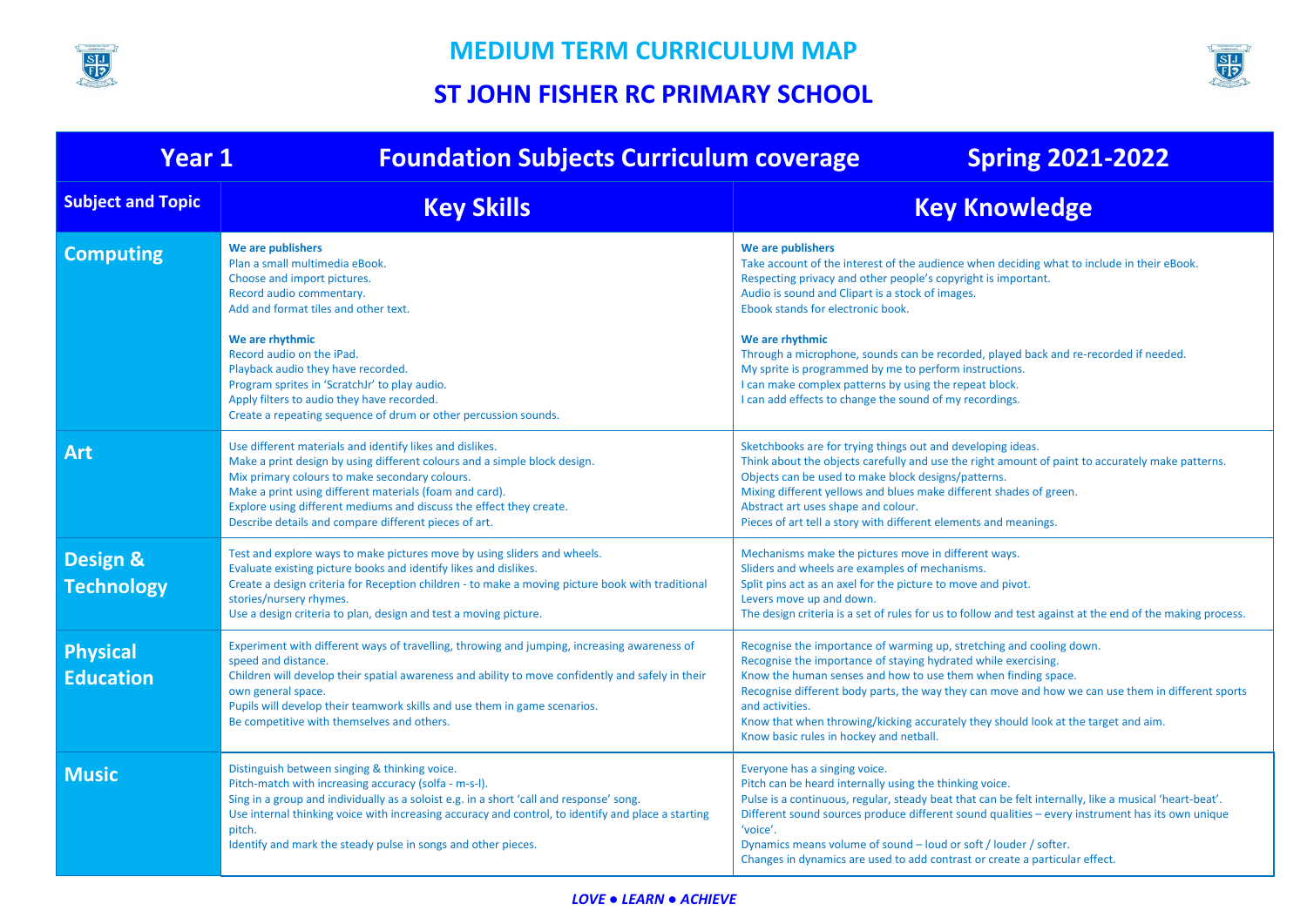



| <b>Year 1</b>                       | <b>Foundation Subjects Curriculum coverage</b>                                                                                                                                                                                                                                                                                                                                                                 | <b>Spring 2021-2022</b>                                                                                                                                                                                                                                                                                                                                                                                                                                                                                                                                             |  |  |  |  |
|-------------------------------------|----------------------------------------------------------------------------------------------------------------------------------------------------------------------------------------------------------------------------------------------------------------------------------------------------------------------------------------------------------------------------------------------------------------|---------------------------------------------------------------------------------------------------------------------------------------------------------------------------------------------------------------------------------------------------------------------------------------------------------------------------------------------------------------------------------------------------------------------------------------------------------------------------------------------------------------------------------------------------------------------|--|--|--|--|
| <b>Subject and Topic</b>            | <b>Key Skills</b>                                                                                                                                                                                                                                                                                                                                                                                              | <b>Key Knowledge</b>                                                                                                                                                                                                                                                                                                                                                                                                                                                                                                                                                |  |  |  |  |
| <b>Computing</b>                    | We are publishers<br>Plan a small multimedia eBook.<br>Choose and import pictures.<br>Record audio commentary.<br>Add and format tiles and other text.<br>We are rhythmic<br>Record audio on the iPad.<br>Playback audio they have recorded.<br>Program sprites in 'ScratchJr' to play audio.<br>Apply filters to audio they have recorded.<br>Create a repeating sequence of drum or other percussion sounds. | We are publishers<br>Take account of the interest of the audience when deciding what to include in their eBook.<br>Respecting privacy and other people's copyright is important.<br>Audio is sound and Clipart is a stock of images.<br>Ebook stands for electronic book.<br>We are rhythmic<br>Through a microphone, sounds can be recorded, played back and re-recorded if needed.<br>My sprite is programmed by me to perform instructions.<br>I can make complex patterns by using the repeat block.<br>I can add effects to change the sound of my recordings. |  |  |  |  |
| <b>Art</b>                          | Use different materials and identify likes and dislikes.<br>Make a print design by using different colours and a simple block design.<br>Mix primary colours to make secondary colours.<br>Make a print using different materials (foam and card).<br>Explore using different mediums and discuss the effect they create.<br>Describe details and compare different pieces of art.                             | Sketchbooks are for trying things out and developing ideas.<br>Think about the objects carefully and use the right amount of paint to accurately make patterns.<br>Objects can be used to make block designs/patterns.<br>Mixing different yellows and blues make different shades of green.<br>Abstract art uses shape and colour.<br>Pieces of art tell a story with different elements and meanings.                                                                                                                                                             |  |  |  |  |
| Design &<br><b>Technology</b>       | Test and explore ways to make pictures move by using sliders and wheels.<br>Evaluate existing picture books and identify likes and dislikes.<br>Create a design criteria for Reception children - to make a moving picture book with traditional<br>stories/nursery rhymes.<br>Use a design criteria to plan, design and test a moving picture.                                                                | Mechanisms make the pictures move in different ways.<br>Sliders and wheels are examples of mechanisms.<br>Split pins act as an axel for the picture to move and pivot.<br>Levers move up and down.<br>The design criteria is a set of rules for us to follow and test against at the end of the making process.                                                                                                                                                                                                                                                     |  |  |  |  |
| <b>Physical</b><br><b>Education</b> | Experiment with different ways of travelling, throwing and jumping, increasing awareness of<br>speed and distance.<br>Children will develop their spatial awareness and ability to move confidently and safely in their<br>own general space.<br>Pupils will develop their teamwork skills and use them in game scenarios.<br>Be competitive with themselves and others.                                       | Recognise the importance of warming up, stretching and cooling down.<br>Recognise the importance of staying hydrated while exercising.<br>Know the human senses and how to use them when finding space.<br>Recognise different body parts, the way they can move and how we can use them in different sports<br>and activities.<br>Know that when throwing/kicking accurately they should look at the target and aim.<br>Know basic rules in hockey and netball.                                                                                                    |  |  |  |  |
| <b>Music</b>                        | Distinguish between singing & thinking voice.<br>Pitch-match with increasing accuracy (solfa - m-s-l).<br>Sing in a group and individually as a soloist e.g. in a short 'call and response' song.<br>Use internal thinking voice with increasing accuracy and control, to identify and place a starting<br>pitch.<br>Identify and mark the steady pulse in songs and other pieces.                             | Everyone has a singing voice.<br>Pitch can be heard internally using the thinking voice.<br>Pulse is a continuous, regular, steady beat that can be felt internally, like a musical 'heart-beat'.<br>Different sound sources produce different sound qualities - every instrument has its own unique<br>'voice'.<br>Dynamics means volume of sound – loud or soft / louder / softer.<br>Changes in dynamics are used to add contrast or create a particular effect.                                                                                                 |  |  |  |  |